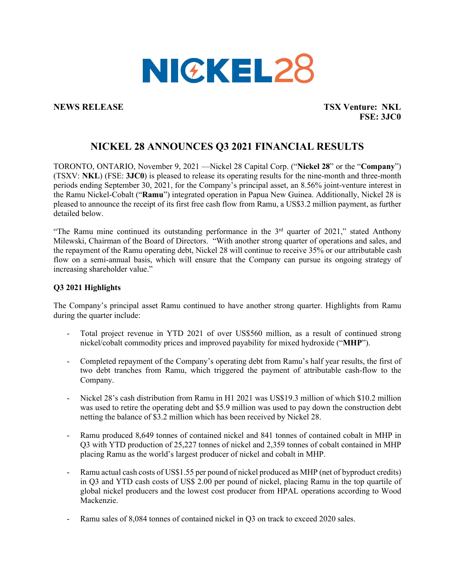

**NEWS RELEASE TSX Venture: NKL FSE: 3JC0** 

# **NICKEL 28 ANNOUNCES Q3 2021 FINANCIAL RESULTS**

TORONTO, ONTARIO, November 9, 2021 —Nickel 28 Capital Corp. ("**Nickel 28**" or the "**Company**") (TSXV: **NKL**) (FSE: **3JC0**) is pleased to release its operating results for the nine-month and three-month periods ending September 30, 2021, for the Company's principal asset, an 8.56% joint-venture interest in the Ramu Nickel-Cobalt ("**Ramu**") integrated operation in Papua New Guinea. Additionally, Nickel 28 is pleased to announce the receipt of its first free cash flow from Ramu, a US\$3.2 million payment, as further detailed below.

"The Ramu mine continued its outstanding performance in the  $3<sup>rd</sup>$  quarter of 2021," stated Anthony Milewski, Chairman of the Board of Directors. "With another strong quarter of operations and sales, and the repayment of the Ramu operating debt, Nickel 28 will continue to receive 35% or our attributable cash flow on a semi-annual basis, which will ensure that the Company can pursue its ongoing strategy of increasing shareholder value."

### **Q3 2021 Highlights**

The Company's principal asset Ramu continued to have another strong quarter. Highlights from Ramu during the quarter include:

- Total project revenue in YTD 2021 of over US\$560 million, as a result of continued strong nickel/cobalt commodity prices and improved payability for mixed hydroxide ("**MHP**").
- Completed repayment of the Company's operating debt from Ramu's half year results, the first of two debt tranches from Ramu, which triggered the payment of attributable cash-flow to the Company.
- Nickel 28's cash distribution from Ramu in H1 2021 was US\$19.3 million of which \$10.2 million was used to retire the operating debt and \$5.9 million was used to pay down the construction debt netting the balance of \$3.2 million which has been received by Nickel 28.
- Ramu produced 8,649 tonnes of contained nickel and 841 tonnes of contained cobalt in MHP in Q3 with YTD production of 25,227 tonnes of nickel and 2,359 tonnes of cobalt contained in MHP placing Ramu as the world's largest producer of nickel and cobalt in MHP.
- Ramu actual cash costs of US\$1.55 per pound of nickel produced as MHP (net of byproduct credits) in Q3 and YTD cash costs of US\$ 2.00 per pound of nickel, placing Ramu in the top quartile of global nickel producers and the lowest cost producer from HPAL operations according to Wood Mackenzie.
- Ramu sales of 8,084 tonnes of contained nickel in Q3 on track to exceed 2020 sales.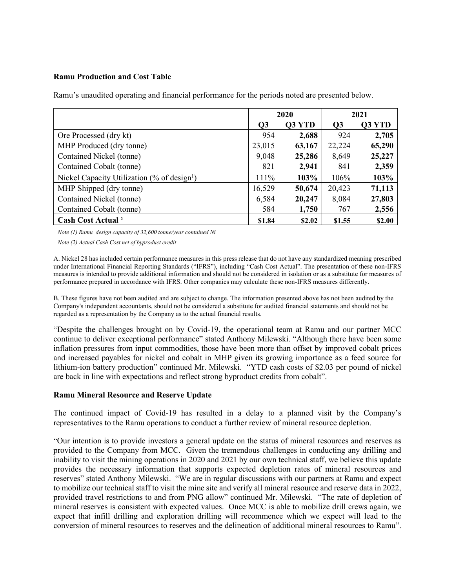#### **Ramu Production and Cost Table**

Ramu's unaudited operating and financial performance for the periods noted are presented below.

|                                                         | 2020           |        | 2021           |        |
|---------------------------------------------------------|----------------|--------|----------------|--------|
|                                                         | Q <sub>3</sub> | Q3 YTD | Q <sub>3</sub> | Q3 YTD |
| Ore Processed (dry kt)                                  | 954            | 2,688  | 924            | 2,705  |
| MHP Produced (dry tonne)                                | 23,015         | 63,167 | 22,224         | 65,290 |
| Contained Nickel (tonne)                                | 9,048          | 25,286 | 8,649          | 25,227 |
| Contained Cobalt (tonne)                                | 821            | 2,941  | 841            | 2,359  |
| Nickel Capacity Utilization (% of design <sup>1</sup> ) | 111%           | 103%   | 106%           | 103%   |
| MHP Shipped (dry tonne)                                 | 16,529         | 50,674 | 20,423         | 71,113 |
| Contained Nickel (tonne)                                | 6,584          | 20,247 | 8,084          | 27,803 |
| Contained Cobalt (tonne)                                | 584            | 1,750  | 767            | 2,556  |
| <b>Cash Cost Actual</b> <sup>2</sup>                    | \$1.84         | \$2.02 | \$1.55         | \$2.00 |

*Note (1) Ramu design capacity of 32,600 tonne/year contained Ni*

*Note (2) Actual Cash Cost net of byproduct credit*

A. Nickel 28 has included certain performance measures in this press release that do not have any standardized meaning prescribed under International Financial Reporting Standards ("IFRS"), including "Cash Cost Actual". The presentation of these non-IFRS measures is intended to provide additional information and should not be considered in isolation or as a substitute for measures of performance prepared in accordance with IFRS. Other companies may calculate these non-IFRS measures differently.

B. These figures have not been audited and are subject to change. The information presented above has not been audited by the Company's independent accountants, should not be considered a substitute for audited financial statements and should not be regarded as a representation by the Company as to the actual financial results.

"Despite the challenges brought on by Covid-19, the operational team at Ramu and our partner MCC continue to deliver exceptional performance" stated Anthony Milewski. "Although there have been some inflation pressures from input commodities, those have been more than offset by improved cobalt prices and increased payables for nickel and cobalt in MHP given its growing importance as a feed source for lithium-ion battery production" continued Mr. Milewski. "YTD cash costs of \$2.03 per pound of nickel are back in line with expectations and reflect strong byproduct credits from cobalt".

#### **Ramu Mineral Resource and Reserve Update**

The continued impact of Covid-19 has resulted in a delay to a planned visit by the Company's representatives to the Ramu operations to conduct a further review of mineral resource depletion.

"Our intention is to provide investors a general update on the status of mineral resources and reserves as provided to the Company from MCC. Given the tremendous challenges in conducting any drilling and inability to visit the mining operations in 2020 and 2021 by our own technical staff, we believe this update provides the necessary information that supports expected depletion rates of mineral resources and reserves" stated Anthony Milewski. "We are in regular discussions with our partners at Ramu and expect to mobilize our technical staff to visit the mine site and verify all mineral resource and reserve data in 2022, provided travel restrictions to and from PNG allow" continued Mr. Milewski. "The rate of depletion of mineral reserves is consistent with expected values. Once MCC is able to mobilize drill crews again, we expect that infill drilling and exploration drilling will recommence which we expect will lead to the conversion of mineral resources to reserves and the delineation of additional mineral resources to Ramu".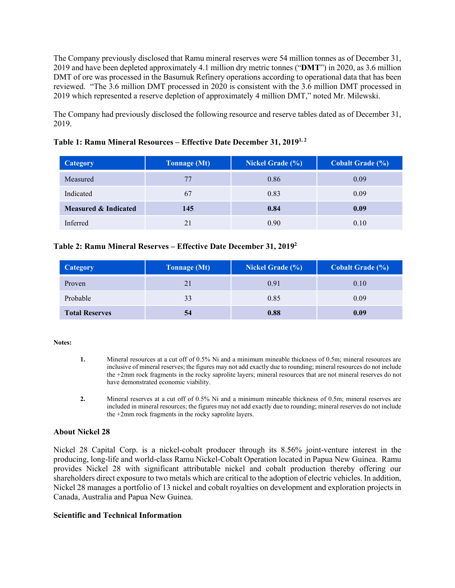The Company previously disclosed that Ramu mineral reserves were 54 million tonnes as of December 31, 2019 and have been depleted approximately 4.1 million dry metric tonnes ("**DMT**") in 2020, as 3.6 million DMT of ore was processed in the Basumuk Refinery operations according to operational data that has been reviewed. "The 3.6 million DMT processed in 2020 is consistent with the 3.6 million DMT processed in 2019 which represented a reserve depletion of approximately 4 million DMT," noted Mr. Milewski.

The Company had previously disclosed the following resource and reserve tables dated as of December 31, 2019.

| <b>Category</b>      | <b>Tonnage (Mt)</b> | <b>Nickel Grade (%)</b> | Cobalt Grade (%) |
|----------------------|---------------------|-------------------------|------------------|
| Measured             | 77                  | 0.86                    | 0.09             |
| Indicated            | 67                  | 0.83                    | 0.09             |
| Measured & Indicated | 145                 | 0.84                    | 0.09             |
| Inferred             | 21                  | 0.90                    | 0.10             |

## **Table 1: Ramu Mineral Resources – Effective Date December 31, 20191, <sup>2</sup>**

### **Table 2: Ramu Mineral Reserves – Effective Date December 31, 20192**

| <b>Category</b>       | <b>Tonnage</b> (Mt) | <b>Nickel Grade (%)</b> | <b>Cobalt Grade (%)</b> |
|-----------------------|---------------------|-------------------------|-------------------------|
| Proven                | 21                  | 0.91                    | 0.10                    |
| Probable              | 33                  | 0.85                    | 0.09                    |
| <b>Total Reserves</b> | 54                  | 0.88                    | 0.09                    |

#### **Notes:**

- **1.** Mineral resources at a cut off of 0.5% Ni and a minimum mineable thickness of 0.5m; mineral resources are inclusive of mineral reserves; the figures may not add exactly due to rounding; mineral resources do not include the +2mm rock fragments in the rocky saprolite layers; mineral resources that are not mineral reserves do not have demonstrated economic viability.
- **2.** Mineral reserves at a cut off of 0.5% Ni and a minimum mineable thickness of 0.5m; mineral reserves are included in mineral resources; the figures may not add exactly due to rounding; mineral reserves do not include the +2mm rock fragments in the rocky saprolite layers.

### **About Nickel 28**

Nickel 28 Capital Corp. is a nickel-cobalt producer through its 8.56% joint-venture interest in the producing, long-life and world-class Ramu Nickel-Cobalt Operation located in Papua New Guinea. Ramu provides Nickel 28 with significant attributable nickel and cobalt production thereby offering our shareholders direct exposure to two metals which are critical to the adoption of electric vehicles. In addition, Nickel 28 manages a portfolio of 13 nickel and cobalt royalties on development and exploration projects in Canada, Australia and Papua New Guinea.

### **Scientific and Technical Information**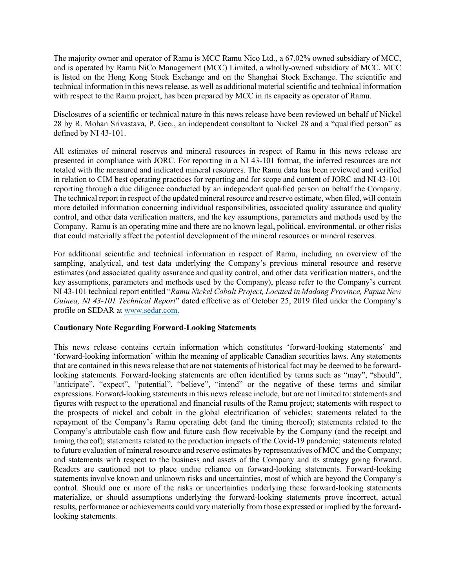The majority owner and operator of Ramu is MCC Ramu Nico Ltd., a 67.02% owned subsidiary of MCC, and is operated by Ramu NiCo Management (MCC) Limited, a wholly-owned subsidiary of MCC. MCC is listed on the Hong Kong Stock Exchange and on the Shanghai Stock Exchange. The scientific and technical information in this news release, as well as additional material scientific and technical information with respect to the Ramu project, has been prepared by MCC in its capacity as operator of Ramu.

Disclosures of a scientific or technical nature in this news release have been reviewed on behalf of Nickel 28 by R. Mohan Srivastava, P. Geo., an independent consultant to Nickel 28 and a "qualified person" as defined by NI 43-101.

All estimates of mineral reserves and mineral resources in respect of Ramu in this news release are presented in compliance with JORC. For reporting in a NI 43-101 format, the inferred resources are not totaled with the measured and indicated mineral resources. The Ramu data has been reviewed and verified in relation to CIM best operating practices for reporting and for scope and content of JORC and NI 43-101 reporting through a due diligence conducted by an independent qualified person on behalf the Company. The technical report in respect of the updated mineral resource and reserve estimate, when filed, will contain more detailed information concerning individual responsibilities, associated quality assurance and quality control, and other data verification matters, and the key assumptions, parameters and methods used by the Company. Ramu is an operating mine and there are no known legal, political, environmental, or other risks that could materially affect the potential development of the mineral resources or mineral reserves.

For additional scientific and technical information in respect of Ramu, including an overview of the sampling, analytical, and test data underlying the Company's previous mineral resource and reserve estimates (and associated quality assurance and quality control, and other data verification matters, and the key assumptions, parameters and methods used by the Company), please refer to the Company's current NI 43-101 technical report entitled "*Ramu Nickel Cobalt Project, Located in Madang Province, Papua New Guinea, NI 43-101 Technical Report*" dated effective as of October 25, 2019 filed under the Company's profile on SEDAR at [www.sedar.com.](http://www.sedar.com/)

### **Cautionary Note Regarding Forward-Looking Statements**

This news release contains certain information which constitutes 'forward-looking statements' and 'forward-looking information' within the meaning of applicable Canadian securities laws. Any statements that are contained in this news release that are not statements of historical fact may be deemed to be forwardlooking statements. Forward-looking statements are often identified by terms such as "may", "should", "anticipate", "expect", "potential", "believe", "intend" or the negative of these terms and similar expressions. Forward-looking statements in this news release include, but are not limited to: statements and figures with respect to the operational and financial results of the Ramu project; statements with respect to the prospects of nickel and cobalt in the global electrification of vehicles; statements related to the repayment of the Company's Ramu operating debt (and the timing thereof); statements related to the Company's attributable cash flow and future cash flow receivable by the Company (and the receipt and timing thereof); statements related to the production impacts of the Covid-19 pandemic; statements related to future evaluation of mineral resource and reserve estimates by representatives of MCC and the Company; and statements with respect to the business and assets of the Company and its strategy going forward. Readers are cautioned not to place undue reliance on forward-looking statements. Forward-looking statements involve known and unknown risks and uncertainties, most of which are beyond the Company's control. Should one or more of the risks or uncertainties underlying these forward-looking statements materialize, or should assumptions underlying the forward-looking statements prove incorrect, actual results, performance or achievements could vary materially from those expressed or implied by the forwardlooking statements.